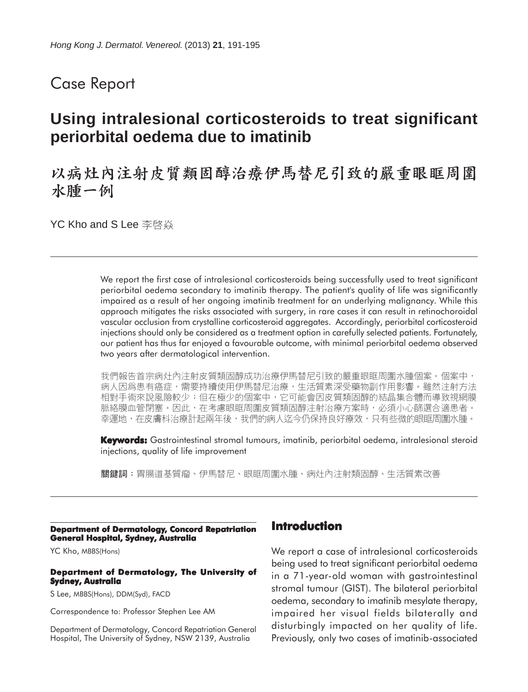# Case Report

# **Using intralesional corticosteroids to treat significant periorbital oedema due to imatinib**

# 以病灶內注射皮質類固醇治療伊馬替尼引致的嚴重眼眶周圍 水腫一例

YC Kho and S Lee 李啓焱

We report the first case of intralesional corticosteroids being successfully used to treat significant periorbital oedema secondary to imatinib therapy. The patient's quality of life was significantly impaired as a result of her ongoing imatinib treatment for an underlying malignancy. While this approach mitigates the risks associated with surgery, in rare cases it can result in retinochoroidal vascular occlusion from crystalline corticosteroid aggregates. Accordingly, periorbital corticosteroid injections should only be considered as a treatment option in carefully selected patients. Fortunately, our patient has thus far enjoyed a favourable outcome, with minimal periorbital oedema observed two years after dermatological intervention.

我們報告首宗病灶內注射皮質類固醇成功治療伊馬替尼引致的嚴重眼眶周圍水腫個案。個案中, 病人因爲患有癌症,需要持續使用伊馬替尼治療,生活質素深受藥物副作用影響。雖然注射方法 相對手術來說風險較少;但在極少的個案中,它可能會因皮質類固醇的結晶集合體而導致視網膜 脈絡膜血管閉塞。因此,在考慮眼眶周圍皮質類固醇注射治療方案時,必須小心篩選合適患者。 幸運地,在皮膚科治療計起兩年後,我們的病人迄今仍保持良好療效,只有些微的眼眶周圍水腫。

**Keywords:** Gastrointestinal stromal tumours, imatinib, periorbital oedema, intralesional steroid injections, quality of life improvement

關鍵詞:胃腸道基質瘤、伊馬替尼、眼眶周圍水腫、病灶內注射類固醇、生活質素改善

#### **Department of Dermatology, Concord Repatriation General Hospital, Sydney, Australia**

YC Kho, MBBS(Hons)

#### **Department of Dermatology, The University of Sydney, Australia**

S Lee, MBBS(Hons), DDM(Syd), FACD

Correspondence to: Professor Stephen Lee AM

Department of Dermatology, Concord Repatriation General Hospital, The University of Sydney, NSW 2139, Australia

### **Introduction**

We report a case of intralesional corticosteroids being used to treat significant periorbital oedema in a 71-year-old woman with gastrointestinal stromal tumour (GIST). The bilateral periorbital oedema, secondary to imatinib mesylate therapy, impaired her visual fields bilaterally and disturbingly impacted on her quality of life. Previously, only two cases of imatinib-associated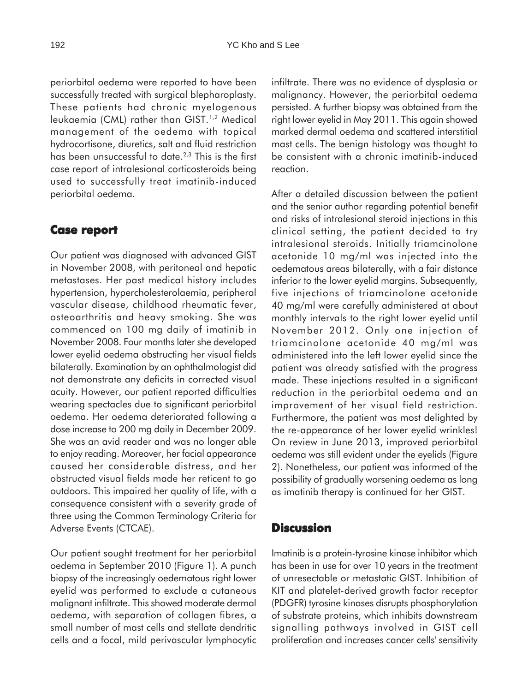periorbital oedema were reported to have been successfully treated with surgical blepharoplasty. These patients had chronic myelogenous leukaemia (CML) rather than GIST.1,2 Medical management of the oedema with topical hydrocortisone, diuretics, salt and fluid restriction has been unsuccessful to date.<sup>2,3</sup> This is the first case report of intralesional corticosteroids being used to successfully treat imatinib-induced periorbital oedema.

#### **Case report report**

Our patient was diagnosed with advanced GIST in November 2008, with peritoneal and hepatic metastases. Her past medical history includes hypertension, hypercholesterolaemia, peripheral vascular disease, childhood rheumatic fever, osteoarthritis and heavy smoking. She was commenced on 100 mg daily of imatinib in November 2008. Four months later she developed lower eyelid oedema obstructing her visual fields bilaterally. Examination by an ophthalmologist did not demonstrate any deficits in corrected visual acuity. However, our patient reported difficulties wearing spectacles due to significant periorbital oedema. Her oedema deteriorated following a dose increase to 200 mg daily in December 2009. She was an avid reader and was no longer able to enjoy reading. Moreover, her facial appearance caused her considerable distress, and her obstructed visual fields made her reticent to go outdoors. This impaired her quality of life, with a consequence consistent with a severity grade of three using the Common Terminology Criteria for Adverse Events (CTCAE).

Our patient sought treatment for her periorbital oedema in September 2010 (Figure 1). A punch biopsy of the increasingly oedematous right lower eyelid was performed to exclude a cutaneous malignant infiltrate. This showed moderate dermal oedema, with separation of collagen fibres, a small number of mast cells and stellate dendritic cells and a focal, mild perivascular lymphocytic infiltrate. There was no evidence of dysplasia or malignancy. However, the periorbital oedema persisted. A further biopsy was obtained from the right lower eyelid in May 2011. This again showed marked dermal oedema and scattered interstitial mast cells. The benign histology was thought to be consistent with a chronic imatinib-induced reaction.

After a detailed discussion between the patient and the senior author regarding potential benefit and risks of intralesional steroid injections in this clinical setting, the patient decided to try intralesional steroids. Initially triamcinolone acetonide 10 mg/ml was injected into the oedematous areas bilaterally, with a fair distance inferior to the lower eyelid margins. Subsequently, five injections of triamcinolone acetonide 40 mg/ml were carefully administered at about monthly intervals to the right lower eyelid until November 2012. Only one injection of triamcinolone acetonide 40 mg/ml was administered into the left lower eyelid since the patient was already satisfied with the progress made. These injections resulted in a significant reduction in the periorbital oedema and an improvement of her visual field restriction. Furthermore, the patient was most delighted by the re-appearance of her lower eyelid wrinkles! On review in June 2013, improved periorbital oedema was still evident under the eyelids (Figure 2). Nonetheless, our patient was informed of the possibility of gradually worsening oedema as long as imatinib therapy is continued for her GIST.

### **Discussion**

Imatinib is a protein-tyrosine kinase inhibitor which has been in use for over 10 years in the treatment of unresectable or metastatic GIST. Inhibition of KIT and platelet-derived growth factor receptor (PDGFR) tyrosine kinases disrupts phosphorylation of substrate proteins, which inhibits downstream signalling pathways involved in GIST cell proliferation and increases cancer cells' sensitivity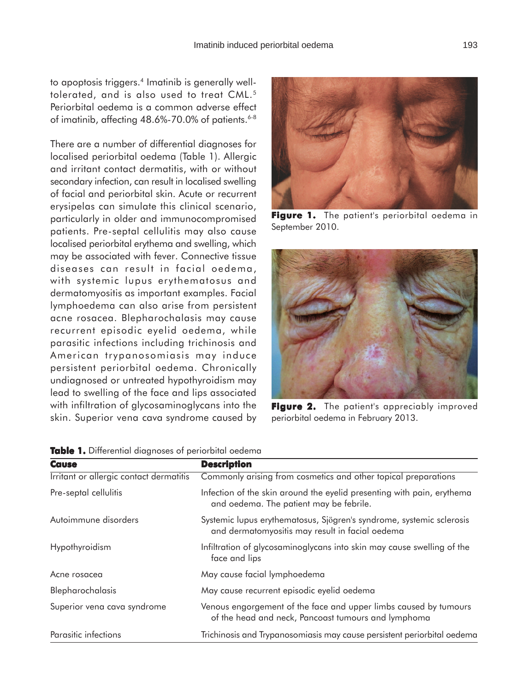to apoptosis triggers.<sup>4</sup> Imatinib is generally welltolerated, and is also used to treat CML.<sup>5</sup> Periorbital oedema is a common adverse effect of imatinib, affecting  $48.6\%$ -70.0% of patients.<sup>6-8</sup>

There are a number of differential diagnoses for localised periorbital oedema (Table 1). Allergic and irritant contact dermatitis, with or without secondary infection, can result in localised swelling of facial and periorbital skin. Acute or recurrent erysipelas can simulate this clinical scenario, particularly in older and immunocompromised patients. Pre-septal cellulitis may also cause localised periorbital erythema and swelling, which may be associated with fever. Connective tissue diseases can result in facial oedema, with systemic lupus erythematosus and dermatomyositis as important examples. Facial lymphoedema can also arise from persistent acne rosacea. Blepharochalasis may cause recurrent episodic eyelid oedema, while parasitic infections including trichinosis and American trypanosomiasis may induce persistent periorbital oedema. Chronically undiagnosed or untreated hypothyroidism may lead to swelling of the face and lips associated with infiltration of glycosaminoglycans into the skin. Superior vena cava syndrome caused by

**Figure 1.** The patient's periorbital oedema in September 2010.



**Figure 2.** The patient's appreciably improved periorbital oedema in February 2013.

| <b>NUMBER 10</b> DITIOLOHINGI QIQQITOSOS OF POTTOLDINGI OCQUITIQ |                                                                                                                         |
|------------------------------------------------------------------|-------------------------------------------------------------------------------------------------------------------------|
| <b>Cause</b>                                                     | <b>Description</b>                                                                                                      |
| Irritant or allergic contact dermatitis                          | Commonly arising from cosmetics and other topical preparations                                                          |
| Pre-septal cellulitis                                            | Infection of the skin around the eyelid presenting with pain, erythema<br>and oedema. The patient may be febrile.       |
| Autoimmune disorders                                             | Systemic lupus erythematosus, Sjögren's syndrome, systemic sclerosis<br>and dermatomyositis may result in facial oedema |
| Hypothyroidism                                                   | Infiltration of glycosaminoglycans into skin may cause swelling of the<br>face and lips                                 |
| Acne rosacea                                                     | May cause facial lymphoedema                                                                                            |
| Blepharochalasis                                                 | May cause recurrent episodic eyelid oedema                                                                              |
| Superior vena cava syndrome                                      | Venous engorgement of the face and upper limbs caused by tumours<br>of the head and neck, Pancoast tumours and lymphoma |
| Parasitic infections                                             | Trichinosis and Trypanosomiasis may cause persistent periorbital oedema                                                 |

**Table 1.** Differential diagnoses of periorbital oedema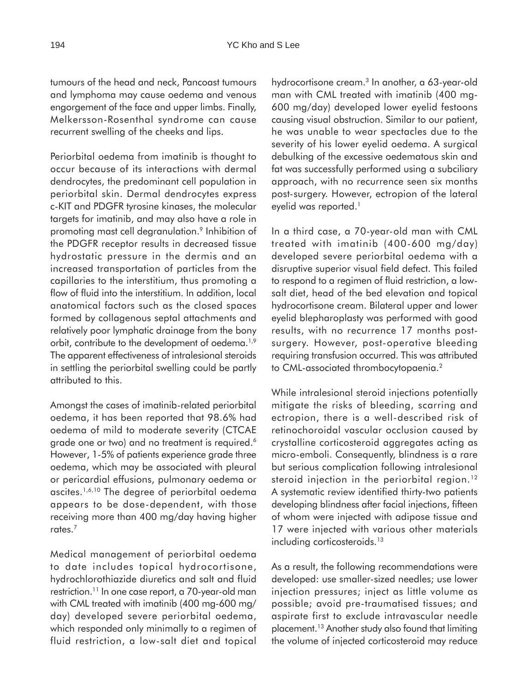tumours of the head and neck, Pancoast tumours and lymphoma may cause oedema and venous engorgement of the face and upper limbs. Finally, Melkersson-Rosenthal syndrome can cause recurrent swelling of the cheeks and lips.

Periorbital oedema from imatinib is thought to occur because of its interactions with dermal dendrocytes, the predominant cell population in periorbital skin. Dermal dendrocytes express c-KIT and PDGFR tyrosine kinases, the molecular targets for imatinib, and may also have a role in promoting mast cell degranulation.<sup>9</sup> Inhibition of the PDGFR receptor results in decreased tissue hydrostatic pressure in the dermis and an increased transportation of particles from the capillaries to the interstitium, thus promoting a flow of fluid into the interstitium. In addition, local anatomical factors such as the closed spaces formed by collagenous septal attachments and relatively poor lymphatic drainage from the bony orbit, contribute to the development of oedema.<sup>1,9</sup> The apparent effectiveness of intralesional steroids in settling the periorbital swelling could be partly attributed to this.

Amongst the cases of imatinib-related periorbital oedema, it has been reported that 98.6% had oedema of mild to moderate severity (CTCAE grade one or two) and no treatment is required.<sup>6</sup> However, 1-5% of patients experience grade three oedema, which may be associated with pleural or pericardial effusions, pulmonary oedema or ascites.1,6,10 The degree of periorbital oedema appears to be dose-dependent, with those receiving more than 400 mg/day having higher rates.7

Medical management of periorbital oedema to date includes topical hydrocortisone, hydrochlorothiazide diuretics and salt and fluid restriction.11 In one case report, a 70-year-old man with CML treated with imatinib (400 mg-600 mg/ day) developed severe periorbital oedema, which responded only minimally to a regimen of fluid restriction, a low-salt diet and topical

hydrocortisone cream.<sup>3</sup> In another, a 63-year-old man with CML treated with imatinib (400 mg-600 mg/day) developed lower eyelid festoons causing visual obstruction. Similar to our patient, he was unable to wear spectacles due to the severity of his lower eyelid oedema. A surgical debulking of the excessive oedematous skin and fat was successfully performed using a subciliary approach, with no recurrence seen six months post-surgery. However, ectropion of the lateral eyelid was reported.<sup>1</sup>

In a third case, a 70-year-old man with CML treated with imatinib (400-600 mg/day) developed severe periorbital oedema with a disruptive superior visual field defect. This failed to respond to a regimen of fluid restriction, a lowsalt diet, head of the bed elevation and topical hydrocortisone cream. Bilateral upper and lower eyelid blepharoplasty was performed with good results, with no recurrence 17 months postsurgery. However, post-operative bleeding requiring transfusion occurred. This was attributed to CML-associated thrombocytopaenia.<sup>2</sup>

While intralesional steroid injections potentially mitigate the risks of bleeding, scarring and ectropion, there is a well-described risk of retinochoroidal vascular occlusion caused by crystalline corticosteroid aggregates acting as micro-emboli. Consequently, blindness is a rare but serious complication following intralesional steroid injection in the periorbital region.<sup>12</sup> A systematic review identified thirty-two patients developing blindness after facial injections, fifteen of whom were injected with adipose tissue and 17 were injected with various other materials including corticosteroids.<sup>13</sup>

As a result, the following recommendations were developed: use smaller-sized needles; use lower injection pressures; inject as little volume as possible; avoid pre-traumatised tissues; and aspirate first to exclude intravascular needle placement.13 Another study also found that limiting the volume of injected corticosteroid may reduce